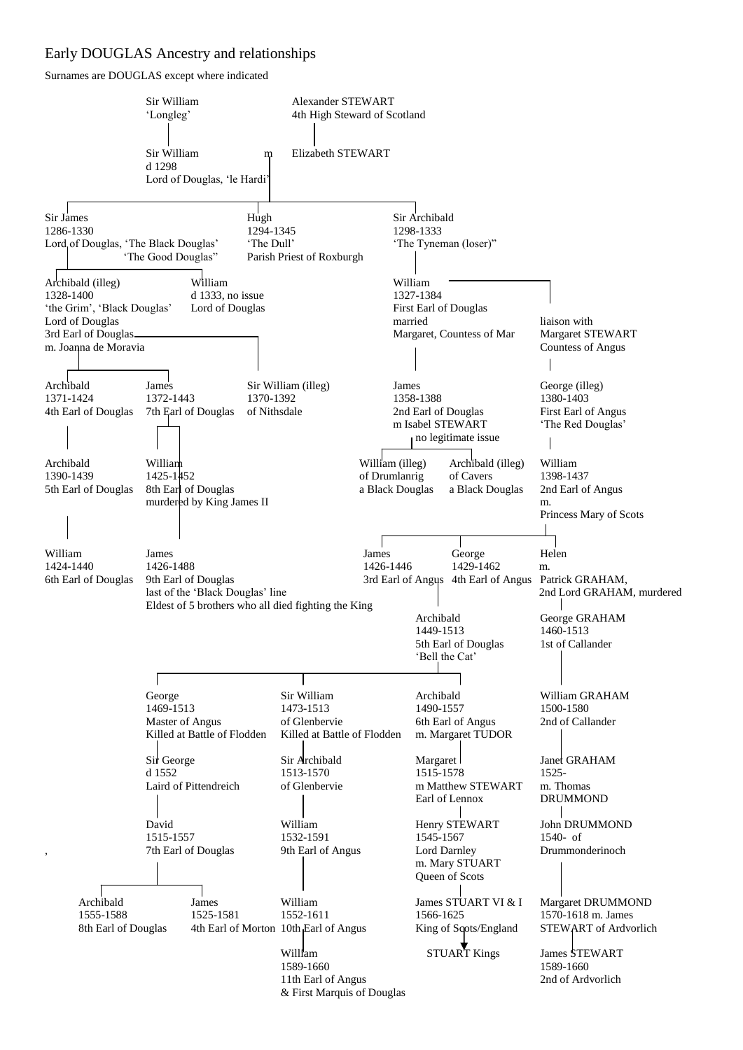## Early DOUGLAS Ancestry and relationships

Surnames are DOUGLAS except where indicated